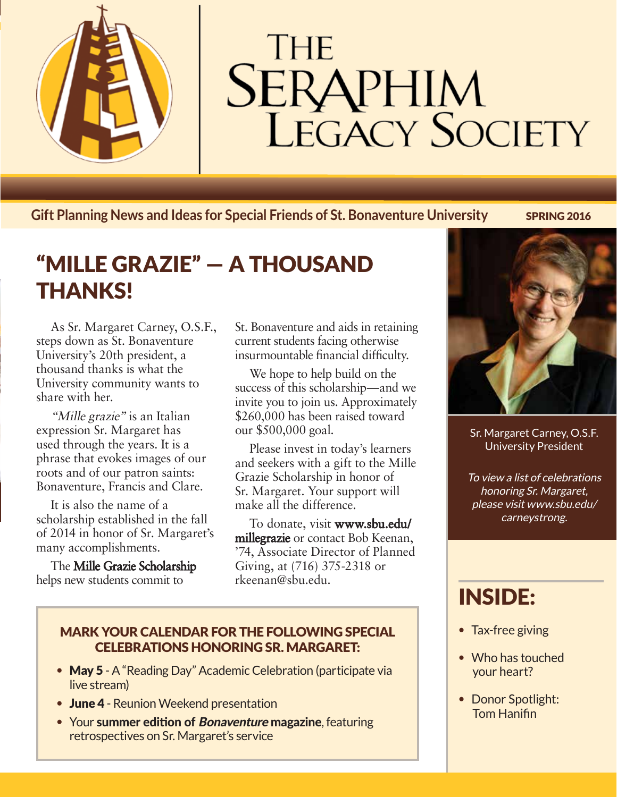

# **THE SERAPHIM**<br>LEGACY SOCIETY

**Gift Planning News and Ideas for Special Friends of St. Bonaventure University SPRING 2016** 

# "MILLE GRAZIE" — A THOUSAND THANKS!

As Sr. Margaret Carney, O.S.F., steps down as St. Bonaventure University's 20th president, a thousand thanks is what the University community wants to share with her.

"Mille grazie" is an Italian expression Sr. Margaret has used through the years. It is a phrase that evokes images of our roots and of our patron saints: Bonaventure, Francis and Clare.

It is also the name of a scholarship established in the fall of 2014 in honor of Sr. Margaret's many accomplishments.

The Mille Grazie Scholarship helps new students commit to

St. Bonaventure and aids in retaining current students facing otherwise insurmountable financial difficulty.

We hope to help build on the success of this scholarship—and we invite you to join us. Approximately \$260,000 has been raised toward our \$500,000 goal.

Please invest in today's learners and seekers with a gift to the Mille Grazie Scholarship in honor of Sr. Margaret. Your support will make all the difference.

To donate, visit www.sbu.edu/ millegrazie or contact Bob Keenan, '74, Associate Director of Planned Giving, at (716) 375-2318 or rkeenan@sbu.edu.

### MARK YOUR CALENDAR FOR THE FOLLOWING SPECIAL CELEBRATIONS HONORING SR. MARGARET:

- May 5 A "Reading Day" Academic Celebration (participate via live stream)
- June 4 Reunion Weekend presentation
- Your summer edition of *Bonaventure* magazine, featuring retrospectives on Sr. Margaret's service



Sr. Margaret Carney, O.S.F. University President

To view a list of celebrations honoring Sr. Margaret, please visit www.sbu.edu/ carneystrong.

# INSIDE:

- Tax-free giving
- Who has touched your heart?
- Donor Spotlight: Tom Hanifin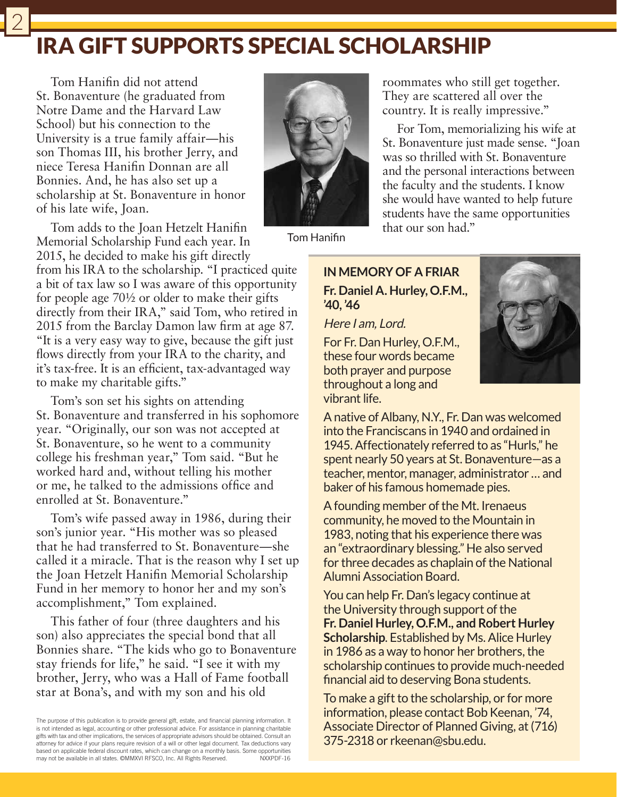## IRA GIFT SUPPORTS SPECIAL SCHOLARSHIP

Tom Hanifin did not attend St. Bonaventure (he graduated from Notre Dame and the Harvard Law School) but his connection to the University is a true family affair—his son Thomas III, his brother Jerry, and niece Teresa Hanifin Donnan are all Bonnies. And, he has also set up a scholarship at St. Bonaventure in honor of his late wife, Joan.

2



Tom Hanifin

Tom adds to the Joan Hetzelt Hanifin Memorial Scholarship Fund each year. In 2015, he decided to make his gift directly

from his IRA to the scholarship. "I practiced quite a bit of tax law so I was aware of this opportunity for people age 70½ or older to make their gifts directly from their IRA," said Tom, who retired in 2015 from the Barclay Damon law firm at age 87. "It is a very easy way to give, because the gift just flows directly from your IRA to the charity, and it's tax-free. It is an efficient, tax-advantaged way to make my charitable gifts."

Tom's son set his sights on attending St. Bonaventure and transferred in his sophomore year. "Originally, our son was not accepted at St. Bonaventure, so he went to a community college his freshman year," Tom said. "But he worked hard and, without telling his mother or me, he talked to the admissions office and enrolled at St. Bonaventure."

Tom's wife passed away in 1986, during their son's junior year. "His mother was so pleased that he had transferred to St. Bonaventure—she called it a miracle. That is the reason why I set up the Joan Hetzelt Hanifin Memorial Scholarship Fund in her memory to honor her and my son's accomplishment," Tom explained.

This father of four (three daughters and his son) also appreciates the special bond that all Bonnies share. "The kids who go to Bonaventure stay friends for life," he said. "I see it with my brother, Jerry, who was a Hall of Fame football star at Bona's, and with my son and his old

The purpose of this publication is to provide general gift, estate, and financial planning information. It is not intended as legal, accounting or other professional advice. For assistance in planning charitable gifts with tax and other implications, the services of appropriate advisors should be obtained. Consult an attorney for advice if your plans require revision of a will or other legal document. Tax deductions vary based on applicable federal discount rates, which can change on a monthly basis. Some opportunities<br>may not be available in all states. ©MMXVI RESCO. Inc. All Rights Reserved NXXPDF-16 may not be available in all states. ©MMXVI RFSCO, Inc. All Rights Reserved.

### **IN MEMORY OF A FRIAR Fr. Daniel A. Hurley, O.F.M., '40, '46**

that our son had."

Here I am, Lord.

For Fr. Dan Hurley, O.F.M., these four words became both prayer and purpose throughout a long and vibrant life.



A native of Albany, N.Y., Fr. Dan was welcomed into the Franciscans in 1940 and ordained in 1945. Affectionately referred to as "Hurls," he spent nearly 50 years at St. Bonaventure—as a teacher, mentor, manager, administrator … and baker of his famous homemade pies.

roommates who still get together. They are scattered all over the country. It is really impressive."

For Tom, memorializing his wife at St. Bonaventure just made sense. "Joan was so thrilled with St. Bonaventure and the personal interactions between the faculty and the students. I know she would have wanted to help future students have the same opportunities

A founding member of the Mt. Irenaeus community, he moved to the Mountain in 1983, noting that his experience there was an "extraordinary blessing." He also served for three decades as chaplain of the National Alumni Association Board.

You can help Fr. Dan's legacy continue at the University through support of the **Fr. Daniel Hurley, O.F.M., and Robert Hurley Scholarship**. Established by Ms. Alice Hurley in 1986 as a way to honor her brothers, the scholarship continues to provide much-needed financial aid to deserving Bona students.

To make a gift to the scholarship, or for more information, please contact Bob Keenan, '74, Associate Director of Planned Giving, at (716) 375-2318 or rkeenan@sbu.edu.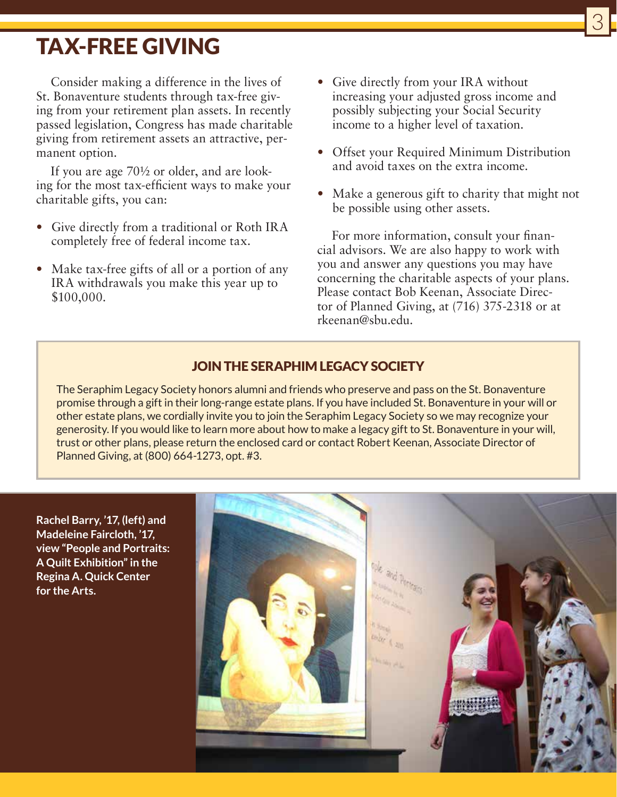## TAX-FREE GIVING

Consider making a difference in the lives of St. Bonaventure students through tax-free giving from your retirement plan assets. In recently passed legislation, Congress has made charitable giving from retirement assets an attractive, permanent option.

If you are age 70½ or older, and are looking for the most tax-efficient ways to make your charitable gifts, you can:

- Give directly from a traditional or Roth IRA completely free of federal income tax.
- Make tax-free gifts of all or a portion of any IRA withdrawals you make this year up to \$100,000.

• Give directly from your IRA without increasing your adjusted gross income and possibly subjecting your Social Security income to a higher level of taxation.

3

- Offset your Required Minimum Distribution and avoid taxes on the extra income.
- Make a generous gift to charity that might not be possible using other assets.

For more information, consult your financial advisors. We are also happy to work with you and answer any questions you may have concerning the charitable aspects of your plans. Please contact Bob Keenan, Associate Director of Planned Giving, at (716) 375-2318 or at rkeenan@sbu.edu.

### JOIN THE SERAPHIM LEGACY SOCIETY

The Seraphim Legacy Society honors alumni and friends who preserve and pass on the St. Bonaventure promise through a gift in their long-range estate plans. If you have included St. Bonaventure in your will or other estate plans, we cordially invite you to join the Seraphim Legacy Society so we may recognize your generosity. If you would like to learn more about how to make a legacy gift to St. Bonaventure in your will, trust or other plans, please return the enclosed card or contact Robert Keenan, Associate Director of Planned Giving, at (800) 664-1273, opt. #3.